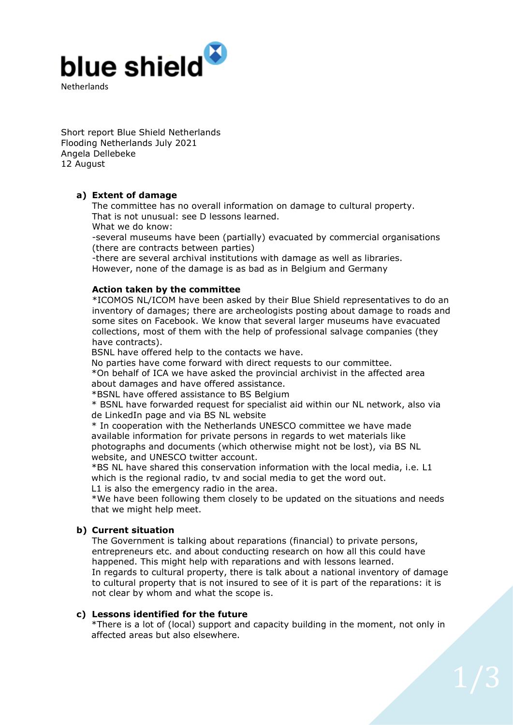

Short report Blue Shield Netherlands Flooding Netherlands July 2021 Angela Dellebeke 12 August

# **a) Extent of damage**

The committee has no overall information on damage to cultural property. That is not unusual: see D lessons learned.

What we do know:

-several museums have been (partially) evacuated by commercial organisations (there are contracts between parties)

-there are several archival institutions with damage as well as libraries. However, none of the damage is as bad as in Belgium and Germany

## **Action taken by the committee**

\*ICOMOS NL/ICOM have been asked by their Blue Shield representatives to do an inventory of damages; there are archeologists posting about damage to roads and some sites on Facebook. We know that several larger museums have evacuated collections, most of them with the help of professional salvage companies (they have contracts).

BSNL have offered help to the contacts we have.

No parties have come forward with direct requests to our committee. \*On behalf of ICA we have asked the provincial archivist in the affected area about damages and have offered assistance.

\*BSNL have offered assistance to BS Belgium

\* BSNL have forwarded request for specialist aid within our NL network, also via de LinkedIn page and via BS NL website

\* In cooperation with the Netherlands UNESCO committee we have made available information for private persons in regards to wet materials like photographs and documents (which otherwise might not be lost), via BS NL website, and UNESCO twitter account.

\*BS NL have shared this conservation information with the local media, i.e. L1 which is the regional radio, ty and social media to get the word out. L1 is also the emergency radio in the area.

\*We have been following them closely to be updated on the situations and needs that we might help meet.

## **b) Current situation**

The Government is talking about reparations (financial) to private persons, entrepreneurs etc. and about conducting research on how all this could have happened. This might help with reparations and with lessons learned. In regards to cultural property, there is talk about a national inventory of damage to cultural property that is not insured to see of it is part of the reparations: it is not clear by whom and what the scope is.

## **c) Lessons identified for the future**

\*There is a lot of (local) support and capacity building in the moment, not only in affected areas but also elsewhere.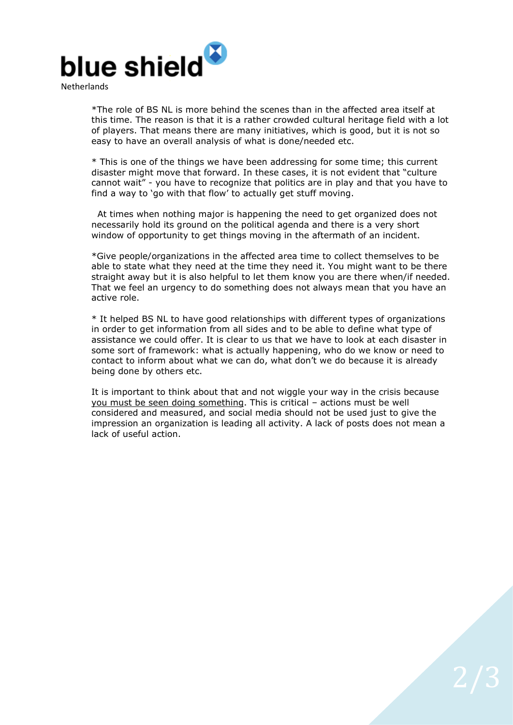

\*The role of BS NL is more behind the scenes than in the affected area itself at this time. The reason is that it is a rather crowded cultural heritage field with a lot of players. That means there are many initiatives, which is good, but it is not so easy to have an overall analysis of what is done/needed etc.

\* This is one of the things we have been addressing for some time; this current disaster might move that forward. In these cases, it is not evident that "culture cannot wait" - you have to recognize that politics are in play and that you have to find a way to 'go with that flow' to actually get stuff moving.

 At times when nothing major is happening the need to get organized does not necessarily hold its ground on the political agenda and there is a very short window of opportunity to get things moving in the aftermath of an incident.

\*Give people/organizations in the affected area time to collect themselves to be able to state what they need at the time they need it. You might want to be there straight away but it is also helpful to let them know you are there when/if needed. That we feel an urgency to do something does not always mean that you have an active role.

\* It helped BS NL to have good relationships with different types of organizations in order to get information from all sides and to be able to define what type of assistance we could offer. It is clear to us that we have to look at each disaster in some sort of framework: what is actually happening, who do we know or need to contact to inform about what we can do, what don't we do because it is already being done by others etc.

It is important to think about that and not wiggle your way in the crisis because you must be seen doing something. This is critical – actions must be well considered and measured, and social media should not be used just to give the impression an organization is leading all activity. A lack of posts does not mean a lack of useful action.